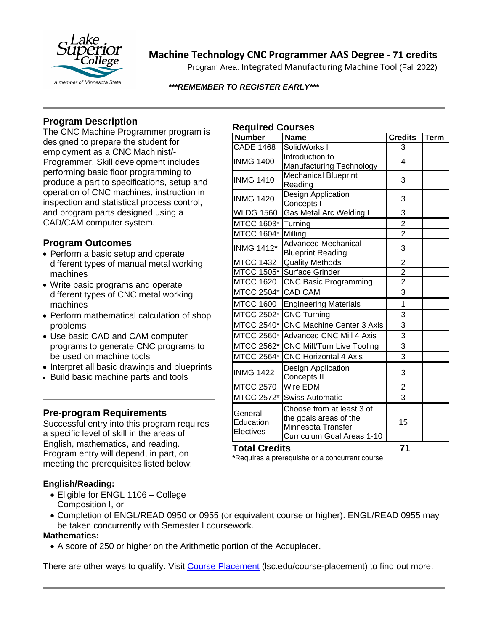

# **Machine Technology CNC Programmer AAS Degree - 71 credits**

Program Area: Integrated Manufacturing Machine Tool (Fall 2022)

#### *\*\*\*REMEMBER TO REGISTER EARLY\*\*\**

# **Program Description**

The CNC Machine Programmer program is designed to prepare the student for employment as a CNC Machinist/- Programmer. Skill development includes performing basic floor programming to produce a part to specifications, setup and operation of CNC machines, instruction in inspection and statistical process control, and program parts designed using a CAD/CAM computer system.

## **Program Outcomes**

- Perform a basic setup and operate different types of manual metal working machines
- Write basic programs and operate different types of CNC metal working machines
- Perform mathematical calculation of shop problems
- Use basic CAD and CAM computer programs to generate CNC programs to be used on machine tools
- Interpret all basic drawings and blueprints
- Build basic machine parts and tools

## **Pre-program Requirements**

Successful entry into this program requires a specific level of skill in the areas of English, mathematics, and reading. Program entry will depend, in part, on meeting the prerequisites listed below:

## **English/Reading:**

- Eligible for ENGL 1106 College Composition I, or
- Completion of ENGL/READ 0950 or 0955 (or equivalent course or higher). ENGL/READ 0955 may be taken concurrently with Semester I coursework.

#### **Mathematics:**

• A score of 250 or higher on the Arithmetic portion of the Accuplacer.

There are other ways to qualify. Visit [Course Placement](https://www.lsc.edu/course-placement/) (lsc.edu/course-placement) to find out more.

## **Required Courses**

| $\cdots$                          |                                                                                                         |                |             |
|-----------------------------------|---------------------------------------------------------------------------------------------------------|----------------|-------------|
| <b>Number</b>                     | <b>Name</b>                                                                                             | <b>Credits</b> | <b>Term</b> |
| <b>CADE 1468</b>                  | SolidWorks I                                                                                            | 3              |             |
| <b>INMG 1400</b>                  | Introduction to<br>Manufacturing Technology                                                             | 4              |             |
| <b>INMG 1410</b>                  | <b>Mechanical Blueprint</b><br>Reading                                                                  | 3              |             |
| <b>INMG 1420</b>                  | Design Application<br>Concepts I                                                                        | 3              |             |
| <b>WLDG 1560</b>                  | <b>Gas Metal Arc Welding I</b>                                                                          | 3              |             |
| MTCC 1603*                        | Turning                                                                                                 | $\overline{2}$ |             |
| MTCC 1604*                        | Milling                                                                                                 | $\overline{2}$ |             |
| <b>INMG 1412*</b>                 | <b>Advanced Mechanical</b><br><b>Blueprint Reading</b>                                                  | 3              |             |
| <b>MTCC 1432</b>                  | <b>Quality Methods</b>                                                                                  | $\overline{c}$ |             |
| <b>MTCC 1505*</b>                 | Surface Grinder                                                                                         | $\overline{2}$ |             |
| <b>MTCC 1620</b>                  | <b>CNC Basic Programming</b>                                                                            | $\overline{2}$ |             |
| MTCC 2504*                        | <b>CAD CAM</b>                                                                                          | $\overline{3}$ |             |
| <b>MTCC 1600</b>                  | <b>Engineering Materials</b>                                                                            | 1              |             |
| MTCC 2502*                        | <b>CNC Turning</b>                                                                                      | 3              |             |
| MTCC 2540*                        | <b>CNC Machine Center 3 Axis</b>                                                                        | 3              |             |
| MTCC 2560*                        | <b>Advanced CNC Mill 4 Axis</b>                                                                         | 3              |             |
| MTCC 2562*                        | CNC Mill/Turn Live Tooling                                                                              | 3              |             |
| MTCC 2564*                        | <b>CNC Horizontal 4 Axis</b>                                                                            | 3              |             |
| <b>INMG 1422</b>                  | Design Application<br>Concepts II                                                                       | 3              |             |
| <b>MTCC 2570</b>                  | Wire EDM                                                                                                | $\overline{2}$ |             |
| MTCC 2572*                        | <b>Swiss Automatic</b>                                                                                  | 3              |             |
| General<br>Education<br>Electives | Choose from at least 3 of<br>the goals areas of the<br>Minnesota Transfer<br>Curriculum Goal Areas 1-10 | 15             |             |

## **Total Credits 71**

**\***Requires a prerequisite or a concurrent course